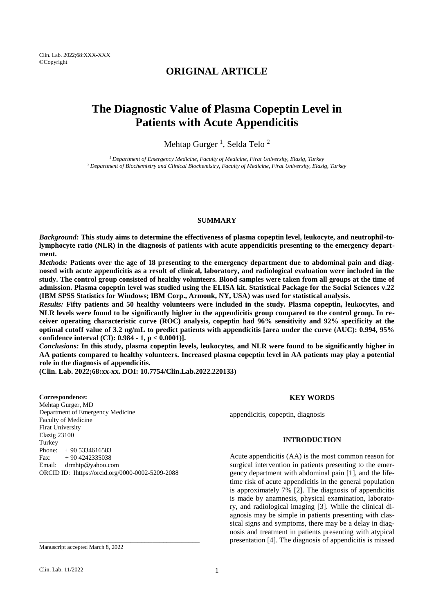## **ORIGINAL ARTICLE**

# **The Diagnostic Value of Plasma Copeptin Level in Patients with Acute Appendicitis**

Mehtap Gurger<sup>1</sup>, Selda Telo<sup>2</sup>

*<sup>1</sup>Department of Emergency Medicine, Faculty of Medicine, Firat University, Elazig, Turkey <sup>2</sup>Department of Biochemistry and Clinical Biochemistry, Faculty of Medicine, Firat University, Elazig, Turkey*

#### **SUMMARY**

*Background:* **This study aims to determine the effectiveness of plasma copeptin level, leukocyte, and neutrophil-tolymphocyte ratio (NLR) in the diagnosis of patients with acute appendicitis presenting to the emergency department.**

*Methods:* **Patients over the age of 18 presenting to the emergency department due to abdominal pain and diagnosed with acute appendicitis as a result of clinical, laboratory, and radiological evaluation were included in the study. The control group consisted of healthy volunteers. Blood samples were taken from all groups at the time of admission. Plasma copeptin level was studied using the ELISA kit. Statistical Package for the Social Sciences v.22 (IBM SPSS Statistics for Windows; IBM Corp., Armonk, NY, USA) was used for statistical analysis.**

*Results:* **Fifty patients and 50 healthy volunteers were included in the study. Plasma copeptin, leukocytes, and NLR levels were found to be significantly higher in the appendicitis group compared to the control group. In receiver operating characteristic curve (ROC) analysis, copeptin had 96% sensitivity and 92% specificity at the optimal cutoff value of 3.2 ng/mL to predict patients with appendicitis [area under the curve (AUC): 0.994, 95% confidence interval (CI): 0.984 - 1, p < 0.0001)].** 

*Conclusions:* **In this study, plasma copeptin levels, leukocytes, and NLR were found to be significantly higher in AA patients compared to healthy volunteers. Increased plasma copeptin level in AA patients may play a potential role in the diagnosis of appendicitis.**

**(Clin. Lab. 2022;68:xx-xx. DOI: 10.7754/Clin.Lab.2022.220133)**

**Correspondence:**

Mehtap Gurger, MD Department of Emergency Medicine Faculty of Medicine Firat University Elazig 23100 **Turkey** Phone:  $+90\,5334616583$ Fax:  $+90\,4242335038$ Email: [drmhtp@yahoo.com](mailto:drmhtp@yahoo.com) ORCID ID: Ihttps://orcid.org/0000-0002-5209-2088

\_\_\_\_\_\_\_\_\_\_\_\_\_\_\_\_\_\_\_\_\_\_\_\_\_\_\_\_\_\_\_\_\_\_\_\_\_\_\_\_\_\_\_\_

#### **KEY WORDS**

appendicitis, copeptin, diagnosis

#### **INTRODUCTION**

Acute appendicitis (AA) is the most common reason for surgical intervention in patients presenting to the emergency department with abdominal pain [1], and the lifetime risk of acute appendicitis in the general population is approximately 7% [2]. The diagnosis of appendicitis is made by anamnesis, physical examination, laboratory, and radiological imaging [3]. While the clinical diagnosis may be simple in patients presenting with classical signs and symptoms, there may be a delay in diagnosis and treatment in patients presenting with atypical presentation [4]. The diagnosis of appendicitis is missed

Manuscript accepted March 8, 2022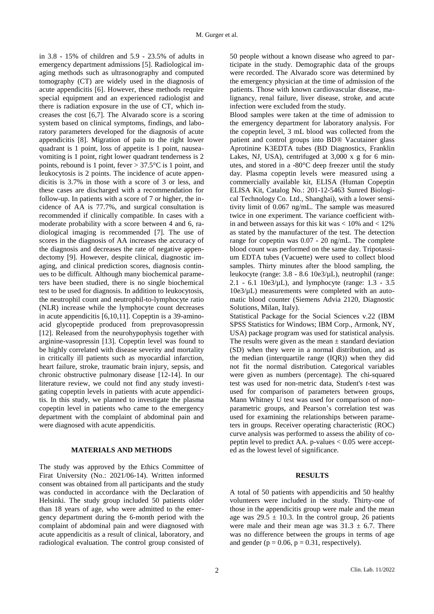in 3.8 - 15% of children and 5.9 - 23.5% of adults in emergency department admissions [5]. Radiological imaging methods such as ultrasonography and computed tomography (CT) are widely used in the diagnosis of acute appendicitis [6]. However, these methods require special equipment and an experienced radiologist and there is radiation exposure in the use of CT, which increases the cost [6,7]. The Alvarado score is a scoring system based on clinical symptoms, findings, and laboratory parameters developed for the diagnosis of acute appendicitis [8]. Migration of pain to the right lower quadrant is 1 point, loss of appetite is 1 point, nauseavomiting is 1 point, right lower quadrant tenderness is 2 points, rebound is 1 point, fever  $> 37.5$ °C is 1 point, and leukocytosis is 2 points. The incidence of acute appendicitis is 3.7% in those with a score of 3 or less, and these cases are discharged with a recommendation for follow-up. In patients with a score of 7 or higher, the incidence of AA is 77.7%, and surgical consultation is recommended if clinically compatible. In cases with a moderate probability with a score between 4 and 6, radiological imaging is recommended [7]. The use of scores in the diagnosis of AA increases the accuracy of the diagnosis and decreases the rate of negative appendectomy [9]. However, despite clinical, diagnostic imaging, and clinical prediction scores, diagnosis continues to be difficult. Although many biochemical parameters have been studied, there is no single biochemical test to be used for diagnosis. In addition to leukocytosis, the neutrophil count and neutrophil-to-lymphocyte ratio (NLR) increase while the lymphocyte count decreases in acute appendicitis [6,10,11]. Copeptin is a 39-aminoacid glycopeptide produced from preprovasopressin [12]. Released from the neurohypophysis together with arginine-vasopressin [13]. Copeptin level was found to be highly correlated with disease severity and mortality in critically ill patients such as myocardial infarction, heart failure, stroke, traumatic brain injury, sepsis, and chronic obstructive pulmonary disease [12-14]. In our literature review, we could not find any study investigating copeptin levels in patients with acute appendicitis. In this study, we planned to investigate the plasma copeptin level in patients who came to the emergency department with the complaint of abdominal pain and were diagnosed with acute appendicitis.

#### **MATERIALS AND METHODS**

The study was approved by the Ethics Committee of Firat University (No.: 2021/06-14). Written informed consent was obtained from all participants and the study was conducted in accordance with the Declaration of Helsinki. The study group included 50 patients older than 18 years of age, who were admitted to the emergency department during the 6-month period with the complaint of abdominal pain and were diagnosed with acute appendicitis as a result of clinical, laboratory, and radiological evaluation. The control group consisted of

50 people without a known disease who agreed to participate in the study. Demographic data of the groups were recorded. The Alvarado score was determined by the emergency physician at the time of admission of the patients. Those with known cardiovascular disease, malignancy, renal failure, liver disease, stroke, and acute infection were excluded from the study.

Blood samples were taken at the time of admission to the emergency department for laboratory analysis. For the copeptin level, 3 mL blood was collected from the patient and control groups into BD® Vacutainer glass Aprotinine K3EDTA tubes (BD Diagnostics, Franklin Lakes, NJ, USA), centrifuged at  $3,000 \times g$  for 6 minutes, and stored in a -80°C deep freezer until the study day. Plasma copeptin levels were measured using a commercially available kit, ELISA (Human Copeptin ELISA Kit, Catalog No.: 201-12-5463 Sunred Biological Technology Co. Ltd., Shanghai), with a lower sensitivity limit of 0.067 ng/mL. The sample was measured twice in one experiment. The variance coefficient within and between assays for this kit was  $< 10\%$  and  $< 12\%$ as stated by the manufacturer of the test. The detection range for copeptin was 0.07 - 20 ng/mL. The complete blood count was performed on the same day. Tripotassium EDTA tubes (Vacuette) were used to collect blood samples. Thirty minutes after the blood sampling, the leukocyte (range: 3.8 - 8.6 10e3/µL), neutrophil (range: 2.1 - 6.1 10e3/ $\mu$ L), and lymphocyte (range: 1.3 - 3.5 10e3/µL) measurements were completed with an automatic blood counter (Siemens Advia 2120, Diagnostic Solutions, Milan, Italy).

Statistical Package for the Social Sciences v.22 (IBM SPSS Statistics for Windows; IBM Corp., Armonk, NY, USA) package program was used for statistical analysis. The results were given as the mean  $\pm$  standard deviation (SD) when they were in a normal distribution, and as the median (interquartile range (IQR)) when they did not fit the normal distribution. Categorical variables were given as numbers (percentage). The chi-squared test was used for non-metric data, Student's *t*-test was used for comparison of parameters between groups, Mann Whitney U test was used for comparison of nonparametric groups, and Pearson's correlation test was used for examining the relationships between parameters in groups. Receiver operating characteristic (ROC) curve analysis was performed to assess the ability of copeptin level to predict AA. p-values  $< 0.05$  were accepted as the lowest level of significance.

#### **RESULTS**

A total of 50 patients with appendicitis and 50 healthy volunteers were included in the study. Thirty-one of those in the appendicitis group were male and the mean age was  $29.5 \pm 10.3$ . In the control group, 26 patients were male and their mean age was  $31.3 \pm 6.7$ . There was no difference between the groups in terms of age and gender ( $p = 0.06$ ,  $p = 0.31$ , respectively).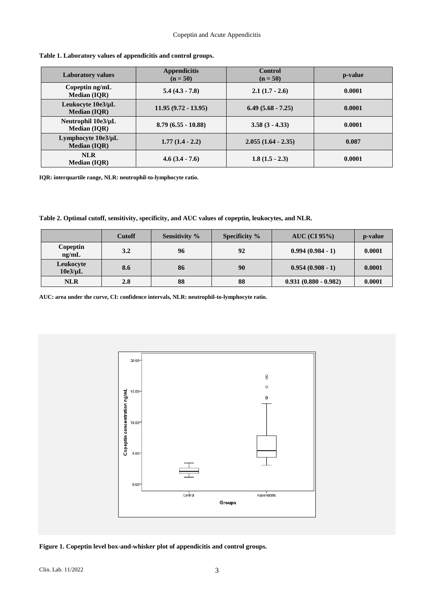| <b>Laboratory values</b>                        | <b>Appendicitis</b><br>$(n = 50)$ | <b>Control</b><br>$(n = 50)$ | p-value |  |
|-------------------------------------------------|-----------------------------------|------------------------------|---------|--|
| Copeptin $\frac{ng}{mL}$<br><b>Median (IOR)</b> | $5.4(4.3 - 7.8)$                  | $2.1(1.7 - 2.6)$             | 0.0001  |  |
| Leukocyte 10e3/µL<br><b>Median (IQR)</b>        | $11.95(9.72 - 13.95)$             | $6.49(5.68 - 7.25)$          | 0.0001  |  |
| Neutrophil 10e3/µL<br><b>Median (IOR)</b>       | $8.79(6.55 - 10.88)$              | $3.58(3 - 4.33)$             | 0.0001  |  |
| Lymphocyte $10e3/\mu L$<br><b>Median (IQR)</b>  | $1.77(1.4 - 2.2)$                 | $2.055(1.64 - 2.35)$         | 0.087   |  |
| <b>NLR</b><br><b>Median (IQR)</b>               | $4.6(3.4 - 7.6)$                  | $1.8(1.5 - 2.3)$             | 0.0001  |  |

#### **Table 1. Laboratory values of appendicitis and control groups.**

**IQR: interquartile range, NLR: neutrophil-to-lymphocyte ratio.**

**Table 2. Optimal cutoff, sensitivity, specificity, and AUC values of copeptin, leukocytes, and NLR.**

|                           | <b>Cutoff</b> | Sensitivity % | <b>Specificity</b> % | $AUC$ (CI 95%)         | p-value |
|---------------------------|---------------|---------------|----------------------|------------------------|---------|
| Copeptin<br>ng/mL         | 3.2           | 96            | 92                   | $0.994(0.984 - 1)$     | 0.0001  |
| Leukocyte<br>$10e3/\mu L$ | 8.6           | 86            | 90                   | $0.954(0.908 - 1)$     | 0.0001  |
| <b>NLR</b>                | 2.8           | 88            | 88                   | $0.931(0.880 - 0.982)$ | 0.0001  |

**AUC: area under the curve, CI: confidence intervals, NLR: neutrophil-to-lymphocyte ratio.**



**Figure 1. Copeptin level box-and-whisker plot of appendicitis and control groups.**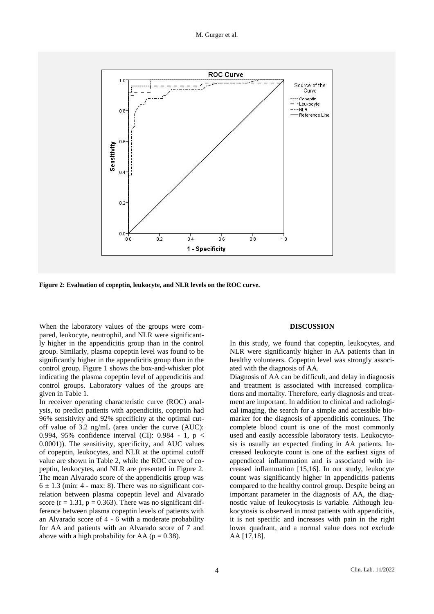

**Figure 2: Evaluation of copeptin, leukocyte, and NLR levels on the ROC curve.**

When the laboratory values of the groups were compared, leukocyte, neutrophil, and NLR were significantly higher in the appendicitis group than in the control group. Similarly, plasma copeptin level was found to be significantly higher in the appendicitis group than in the control group. Figure 1 shows the box-and-whisker plot indicating the plasma copeptin level of appendicitis and control groups. Laboratory values of the groups are given in Table 1.

In receiver operating characteristic curve (ROC) analysis, to predict patients with appendicitis, copeptin had 96% sensitivity and 92% specificity at the optimal cutoff value of 3.2 ng/mL (area under the curve (AUC): 0.994, 95% confidence interval (CI): 0.984 - 1, p < 0.0001)). The sensitivity, specificity, and AUC values of copeptin, leukocytes, and NLR at the optimal cutoff value are shown in Table 2, while the ROC curve of copeptin, leukocytes, and NLR are presented in Figure 2. The mean Alvarado score of the appendicitis group was  $6 \pm 1.3$  (min: 4 - max: 8). There was no significant correlation between plasma copeptin level and Alvarado score ( $r = 1.31$ ,  $p = 0.363$ ). There was no significant difference between plasma copeptin levels of patients with an Alvarado score of 4 - 6 with a moderate probability for AA and patients with an Alvarado score of 7 and above with a high probability for AA ( $p = 0.38$ ).

#### **DISCUSSION**

In this study, we found that copeptin, leukocytes, and NLR were significantly higher in AA patients than in healthy volunteers. Copeptin level was strongly associated with the diagnosis of AA.

Diagnosis of AA can be difficult, and delay in diagnosis and treatment is associated with increased complications and mortality. Therefore, early diagnosis and treatment are important. In addition to clinical and radiological imaging, the search for a simple and accessible biomarker for the diagnosis of appendicitis continues. The complete blood count is one of the most commonly used and easily accessible laboratory tests. Leukocytosis is usually an expected finding in AA patients. Increased leukocyte count is one of the earliest signs of appendiceal inflammation and is associated with increased inflammation [15,16]. In our study, leukocyte count was significantly higher in appendicitis patients compared to the healthy control group. Despite being an important parameter in the diagnosis of AA, the diagnostic value of leukocytosis is variable. Although leukocytosis is observed in most patients with appendicitis, it is not specific and increases with pain in the right lower quadrant, and a normal value does not exclude AA [17,18].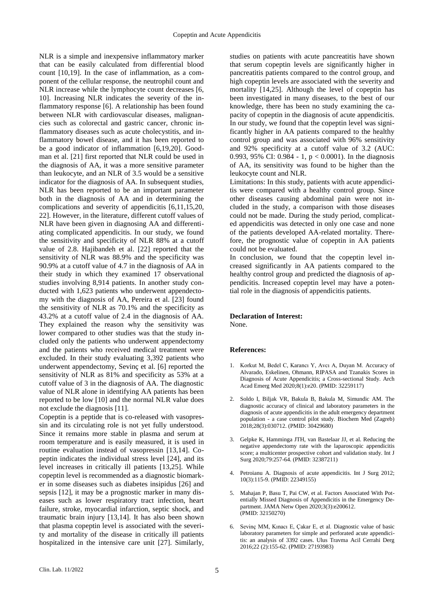NLR is a simple and inexpensive inflammatory marker that can be easily calculated from differential blood count [10,19]. In the case of inflammation, as a component of the cellular response, the neutrophil count and NLR increase while the lymphocyte count decreases [6, 10]. Increasing NLR indicates the severity of the inflammatory response [6]. A relationship has been found between NLR with cardiovascular diseases, malignancies such as colorectal and gastric cancer, chronic inflammatory diseases such as acute cholecystitis, and inflammatory bowel disease, and it has been reported to be a good indicator of inflammation [6,19,20]. Goodman et al. [21] first reported that NLR could be used in the diagnosis of AA, it was a more sensitive parameter than leukocyte, and an NLR of 3.5 would be a sensitive indicator for the diagnosis of AA. In subsequent studies, NLR has been reported to be an important parameter both in the diagnosis of AA and in determining the complications and severity of appendicitis [6,11,15,20, 22]. However, in the literature, different cutoff values of NLR have been given in diagnosing AA and differentiating complicated appendicitis. In our study, we found the sensitivity and specificity of NLR 88% at a cutoff value of 2.8. Hajibandeh et al. [22] reported that the sensitivity of NLR was 88.9% and the specificity was 90.9% at a cutoff value of 4.7 in the diagnosis of AA in their study in which they examined 17 observational studies involving 8,914 patients. In another study conducted with 1,623 patients who underwent appendectomy with the diagnosis of AA, Pereira et al. [23] found the sensitivity of NLR as 70.1% and the specificity as 43.2% at a cutoff value of 2.4 in the diagnosis of AA. They explained the reason why the sensitivity was lower compared to other studies was that the study included only the patients who underwent appendectomy and the patients who received medical treatment were excluded. In their study evaluating 3,392 patients who underwent appendectomy, Sevinç et al. [6] reported the sensitivity of NLR as 81% and specificity as 53% at a cutoff value of 3 in the diagnosis of AA. The diagnostic value of NLR alone in identifying AA patients has been reported to be low [10] and the normal NLR value does not exclude the diagnosis [11].

Copeptin is a peptide that is co-released with vasopressin and its circulating role is not yet fully understood. Since it remains more stable in plasma and serum at room temperature and is easily measured, it is used in routine evaluation instead of vasopressin [13,14]. Copeptin indicates the individual stress level [24], and its level increases in critically ill patients [13,25]. While copeptin level is recommended as a diagnostic biomarker in some diseases such as diabetes insipidus [26] and sepsis [12], it may be a prognostic marker in many diseases such as lower respiratory tract infection, heart failure, stroke, myocardial infarction, septic shock, and traumatic brain injury [13,14]. It has also been shown that plasma copeptin level is associated with the severity and mortality of the disease in critically ill patients hospitalized in the intensive care unit [27]. Similarly,

studies on patients with acute pancreatitis have shown that serum copeptin levels are significantly higher in pancreatitis patients compared to the control group, and high copeptin levels are associated with the severity and mortality [14,25]. Although the level of copeptin has been investigated in many diseases, to the best of our knowledge, there has been no study examining the capacity of copeptin in the diagnosis of acute appendicitis. In our study, we found that the copeptin level was significantly higher in AA patients compared to the healthy control group and was associated with 96% sensitivity and 92% specificity at a cutoff value of 3.2 (AUC: 0.993, 95% CI: 0.984 - 1,  $p < 0.0001$ ). In the diagnosis of AA, its sensitivity was found to be higher than the leukocyte count and NLR.

Limitations: In this study, patients with acute appendicitis were compared with a healthy control group. Since other diseases causing abdominal pain were not included in the study, a comparison with those diseases could not be made. During the study period, complicated appendicitis was detected in only one case and none of the patients developed AA-related mortality. Therefore, the prognostic value of copeptin in AA patients could not be evaluated.

In conclusion, we found that the copeptin level increased significantly in AA patients compared to the healthy control group and predicted the diagnosis of appendicitis. Increased copeptin level may have a potential role in the diagnosis of appendicitis patients.

#### **Declaration of Interest:**

None.

### **References:**

- 1. Korkut M, Bedel C, Karancı Y, Avcı A, Duyan M. Accuracy of Alvarado, Eskelinen, Ohmann, RIPASA and Tzanakis Scores in Diagnosis of Acute Appendicitis; a Cross-sectional Study. Arch Acad Emerg Med 2020;8(1):e20. (PMID: 32259117)
- 2. Soldo I, Biljak VR, Bakula B, Bakula M, Simundic AM. The diagnostic accuracy of clinical and laboratory parameters in the diagnosis of acute appendicitis in the adult emergency department population - a case control pilot study. Biochem Med (Zagreb) 2018;28(3):030712. (PMID: 30429680)
- 3. Gelpke K, Hamminga JTH, van Bastelaar JJ, et al. Reducing the negative appendectomy rate with the laparoscopic appendicitis score; a multicenter prospective cohort and validation study. Int J Surg 2020;79:257-64. (PMID: 32387211)
- 4. Petroianu A. Diagnosis of acute appendicitis. Int J Surg 2012; 10(3):115-9. (PMID: 22349155)
- 5. Mahajan P, Basu T, Pai CW, et al. Factors Associated With Potentially Missed Diagnosis of Appendicitis in the Emergency Department. JAMA Netw Open 2020;3(3):e200612. (PMID: 32150270)
- 6. Sevinç MM, Kınacı E, Çakar E, et al. Diagnostic value of basic laboratory parameters for simple and perforated acute appendicitis: an analysis of 3392 cases. Ulus Travma Acil Cerrahi Derg 2016;22 (2):155-62. (PMID: 27193983)